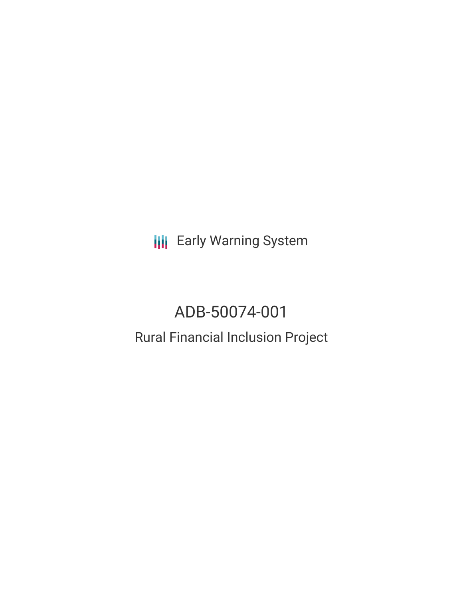**III** Early Warning System

# ADB-50074-001

## Rural Financial Inclusion Project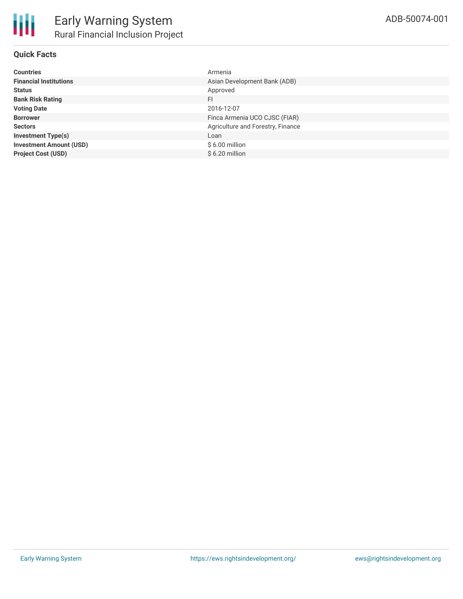

#### **Quick Facts**

| <b>Countries</b>               | Armenia                           |
|--------------------------------|-----------------------------------|
| <b>Financial Institutions</b>  | Asian Development Bank (ADB)      |
| <b>Status</b>                  | Approved                          |
| <b>Bank Risk Rating</b>        | FI                                |
| <b>Voting Date</b>             | 2016-12-07                        |
| <b>Borrower</b>                | Finca Armenia UCO CJSC (FIAR)     |
| <b>Sectors</b>                 | Agriculture and Forestry, Finance |
| <b>Investment Type(s)</b>      | Loan                              |
| <b>Investment Amount (USD)</b> | $$6.00$ million                   |
| <b>Project Cost (USD)</b>      | $$6.20$ million                   |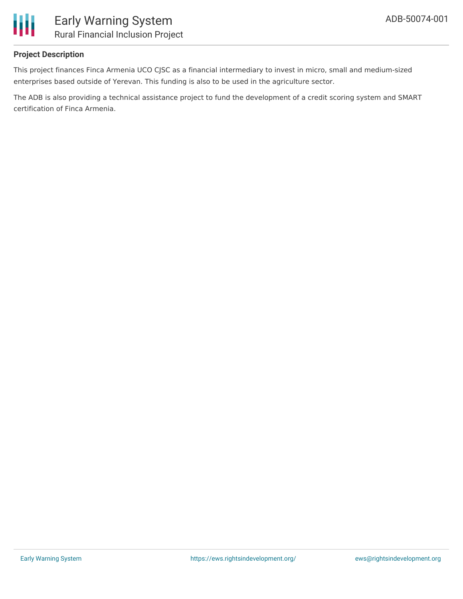

#### **Project Description**

This project finances Finca Armenia UCO CJSC as a financial intermediary to invest in micro, small and medium-sized enterprises based outside of Yerevan. This funding is also to be used in the agriculture sector.

The ADB is also providing a technical assistance project to fund the development of a credit scoring system and SMART certification of Finca Armenia.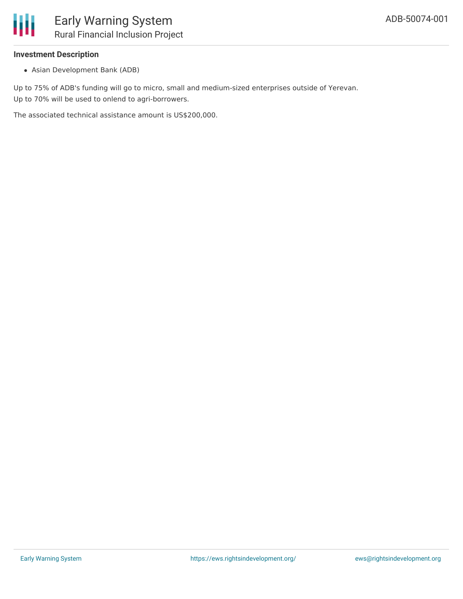

#### **Investment Description**

Asian Development Bank (ADB)

Up to 75% of ADB's funding will go to micro, small and medium-sized enterprises outside of Yerevan. Up to 70% will be used to onlend to agri-borrowers.

The associated technical assistance amount is US\$200,000.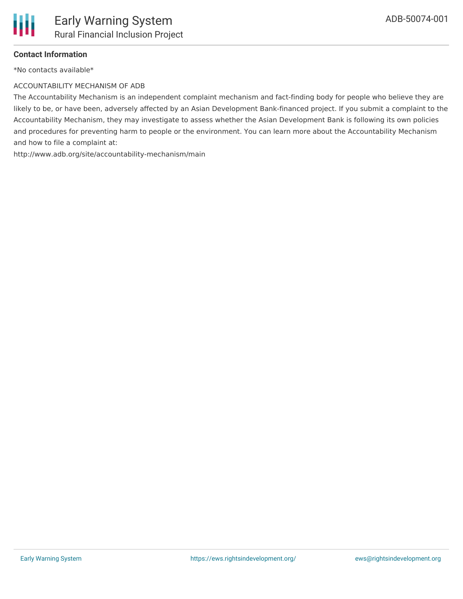

#### **Contact Information**

\*No contacts available\*

#### ACCOUNTABILITY MECHANISM OF ADB

The Accountability Mechanism is an independent complaint mechanism and fact-finding body for people who believe they are likely to be, or have been, adversely affected by an Asian Development Bank-financed project. If you submit a complaint to the Accountability Mechanism, they may investigate to assess whether the Asian Development Bank is following its own policies and procedures for preventing harm to people or the environment. You can learn more about the Accountability Mechanism and how to file a complaint at:

http://www.adb.org/site/accountability-mechanism/main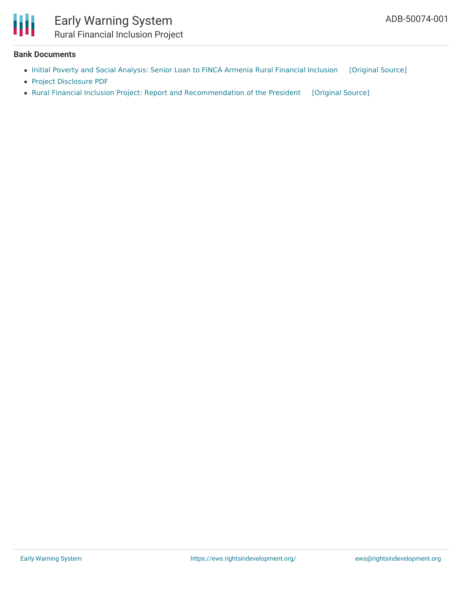

### Early Warning System Rural Financial Inclusion Project

#### **Bank Documents**

- Initial Poverty and Social [Analysis:](https://ewsdata.rightsindevelopment.org/files/documents/01/ADB-50074-001_SzCgGSY.pdf) Senior Loan to FINCA Armenia Rural Financial Inclusion [\[Original](https://www.adb.org/sites/default/files/project-documents/50074/50074-001-ipsa.pdf) Source]
- Project [Disclosure](https://www.adb.org/printpdf/projects/50074-001/main) PDF
- Rural Financial Inclusion Project: Report and [Recommendation](https://ewsdata.rightsindevelopment.org/files/documents/01/ADB-50074-001.pdf) of the President [\[Original](https://www.adb.org/projects/documents/arm-rural-financial-inclusion-rrp) Source]